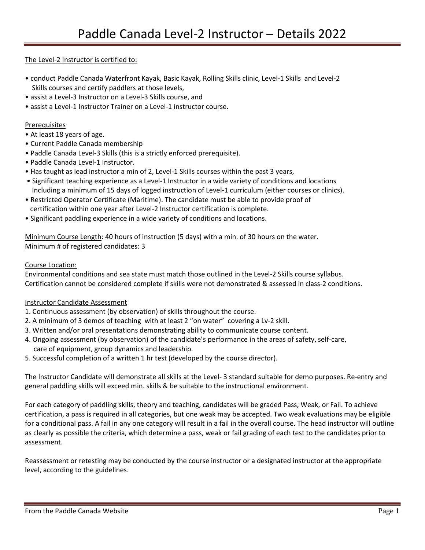#### The Level-2 Instructor is certified to:

- conduct Paddle Canada Waterfront Kayak, Basic Kayak, Rolling Skills clinic, Level-1 Skills and Level-2 Skills courses and certify paddlers at those levels,
- assist a Level-3 Instructor on a Level-3 Skills course, and
- assist a Level-1 Instructor Trainer on a Level-1 instructor course.

#### Prerequisites

- At least 18 years of age.
- Current Paddle Canada membership
- Paddle Canada Level-3 Skills (this is a strictly enforced prerequisite).
- Paddle Canada Level-1 Instructor.
- Has taught as lead instructor a min of 2, Level-1 Skills courses within the past 3 years,
- Significant teaching experience as a Level-1 Instructor in a wide variety of conditions and locations Including a minimum of 15 days of logged instruction of Level-1 curriculum (either courses or clinics).
- Restricted Operator Certificate (Maritime). The candidate must be able to provide proof of certification within one year after Level-2 Instructor certification is complete.
- Significant paddling experience in a wide variety of conditions and locations.

Minimum Course Length: 40 hours of instruction (5 days) with a min. of 30 hours on the water. Minimum # of registered candidates: 3

#### Course Location:

Environmental conditions and sea state must match those outlined in the Level-2 Skills course syllabus. Certification cannot be considered complete if skills were not demonstrated & assessed in class-2 conditions.

#### Instructor Candidate Assessment

- 1. Continuous assessment (by observation) of skills throughout the course.
- 2. A minimum of 3 demos of teaching with at least 2 "on water" covering a Lv-2 skill.
- 3. Written and/or oral presentations demonstrating ability to communicate course content.
- 4. Ongoing assessment (by observation) of the candidate's performance in the areas of safety, self-care, care of equipment, group dynamics and leadership.
- 5. Successful completion of a written 1 hr test (developed by the course director).

The Instructor Candidate will demonstrate all skills at the Level- 3 standard suitable for demo purposes. Re-entry and general paddling skills will exceed min. skills & be suitable to the instructional environment.

For each category of paddling skills, theory and teaching, candidates will be graded Pass, Weak, or Fail. To achieve certification, a pass is required in all categories, but one weak may be accepted. Two weak evaluations may be eligible for a conditional pass. A fail in any one category will result in a fail in the overall course. The head instructor will outline as clearly as possible the criteria, which determine a pass, weak or fail grading of each test to the candidates prior to assessment.

Reassessment or retesting may be conducted by the course instructor or a designated instructor at the appropriate level, according to the guidelines.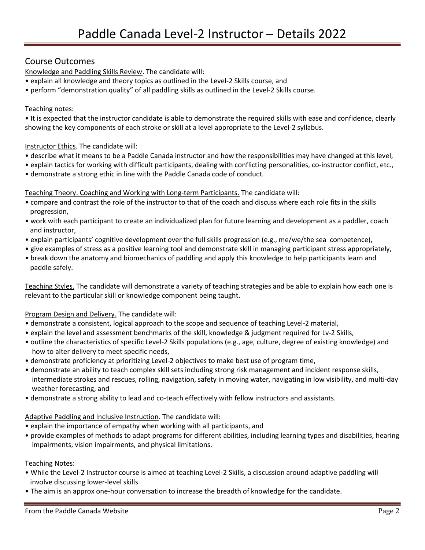# Course Outcomes

Knowledge and Paddling Skills Review. The candidate will:

- explain all knowledge and theory topics as outlined in the Level-2 Skills course, and
- perform "demonstration quality" of all paddling skills as outlined in the Level-2 Skills course.

#### Teaching notes:

• It is expected that the instructor candidate is able to demonstrate the required skills with ease and confidence, clearly showing the key components of each stroke or skill at a level appropriate to the Level-2 syllabus.

#### Instructor Ethics. The candidate will:

- describe what it means to be a Paddle Canada instructor and how the responsibilities may have changed at this level,
- explain tactics for working with difficult participants, dealing with conflicting personalities, co-instructor conflict, etc.,
- demonstrate a strong ethic in line with the Paddle Canada code of conduct.

Teaching Theory. Coaching and Working with Long-term Participants. The candidate will:

- compare and contrast the role of the instructor to that of the coach and discuss where each role fits in the skills progression,
- work with each participant to create an individualized plan for future learning and development as a paddler, coach and instructor,
- explain participants' cognitive development over the full skills progression (e.g., me/we/the sea competence),
- give examples of stress as a positive learning tool and demonstrate skill in managing participant stress appropriately,
- break down the anatomy and biomechanics of paddling and apply this knowledge to help participants learn and paddle safely.

Teaching Styles. The candidate will demonstrate a variety of teaching strategies and be able to explain how each one is relevant to the particular skill or knowledge component being taught.

#### Program Design and Delivery. The candidate will:

- demonstrate a consistent, logical approach to the scope and sequence of teaching Level-2 material,
- explain the level and assessment benchmarks of the skill, knowledge & judgment required for Lv-2 Skills,
- outline the characteristics of specific Level-2 Skills populations (e.g., age, culture, degree of existing knowledge) and how to alter delivery to meet specific needs,
- demonstrate proficiency at prioritizing Level-2 objectives to make best use of program time,
- demonstrate an ability to teach complex skill sets including strong risk management and incident response skills, intermediate strokes and rescues, rolling, navigation, safety in moving water, navigating in low visibility, and multi-day weather forecasting, and
- demonstrate a strong ability to lead and co-teach effectively with fellow instructors and assistants.

#### Adaptive Paddling and Inclusive Instruction. The candidate will:

- explain the importance of empathy when working with all participants, and
- provide examples of methods to adapt programs for different abilities, including learning types and disabilities, hearing impairments, vision impairments, and physical limitations.

#### Teaching Notes:

- While the Level-2 Instructor course is aimed at teaching Level-2 Skills, a discussion around adaptive paddling will involve discussing lower-level skills.
- The aim is an approx one-hour conversation to increase the breadth of knowledge for the candidate.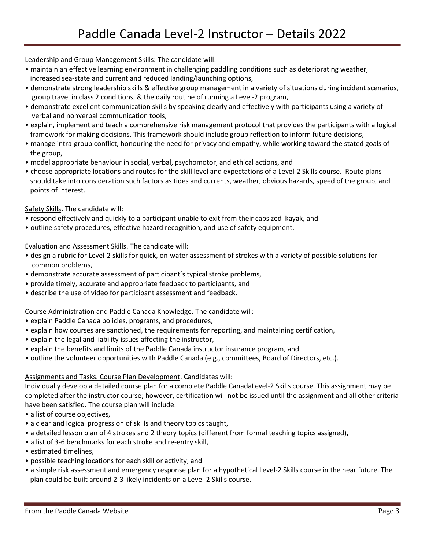# Leadership and Group Management Skills: The candidate will:

- maintain an effective learning environment in challenging paddling conditions such as deteriorating weather, increased sea-state and current and reduced landing/launching options,
- demonstrate strong leadership skills & effective group management in a variety of situations during incident scenarios, group travel in class 2 conditions, & the daily routine of running a Level-2 program,
- demonstrate excellent communication skills by speaking clearly and effectively with participants using a variety of verbal and nonverbal communication tools,
- explain, implement and teach a comprehensive risk management protocol that provides the participants with a logical framework for making decisions. This framework should include group reflection to inform future decisions,
- manage intra-group conflict, honouring the need for privacy and empathy, while working toward the stated goals of the group,
- model appropriate behaviour in social, verbal, psychomotor, and ethical actions, and
- choose appropriate locations and routes for the skill level and expectations of a Level-2 Skills course. Route plans should take into consideration such factors as tides and currents, weather, obvious hazards, speed of the group, and points of interest.

### Safety Skills. The candidate will:

- respond effectively and quickly to a participant unable to exit from their capsized kayak, and
- outline safety procedures, effective hazard recognition, and use of safety equipment.

### Evaluation and Assessment Skills. The candidate will:

- design a rubric for Level-2 skills for quick, on-water assessment of strokes with a variety of possible solutions for common problems,
- demonstrate accurate assessment of participant's typical stroke problems,
- provide timely, accurate and appropriate feedback to participants, and
- describe the use of video for participant assessment and feedback.

# Course Administration and Paddle Canada Knowledge. The candidate will:

- explain Paddle Canada policies, programs, and procedures,
- explain how courses are sanctioned, the requirements for reporting, and maintaining certification,
- explain the legal and liability issues affecting the instructor,
- explain the benefits and limits of the Paddle Canada instructor insurance program, and
- outline the volunteer opportunities with Paddle Canada (e.g., committees, Board of Directors, etc.).

#### Assignments and Tasks. Course Plan Development. Candidates will:

Individually develop a detailed course plan for a complete Paddle CanadaLevel-2 Skills course. This assignment may be completed after the instructor course; however, certification will not be issued until the assignment and all other criteria have been satisfied. The course plan will include:

- a list of course objectives,
- a clear and logical progression of skills and theory topics taught,
- a detailed lesson plan of 4 strokes and 2 theory topics (different from formal teaching topics assigned),
- a list of 3-6 benchmarks for each stroke and re-entry skill,
- estimated timelines,
- possible teaching locations for each skill or activity, and
- a simple risk assessment and emergency response plan for a hypothetical Level-2 Skills course in the near future. The plan could be built around 2-3 likely incidents on a Level-2 Skills course.